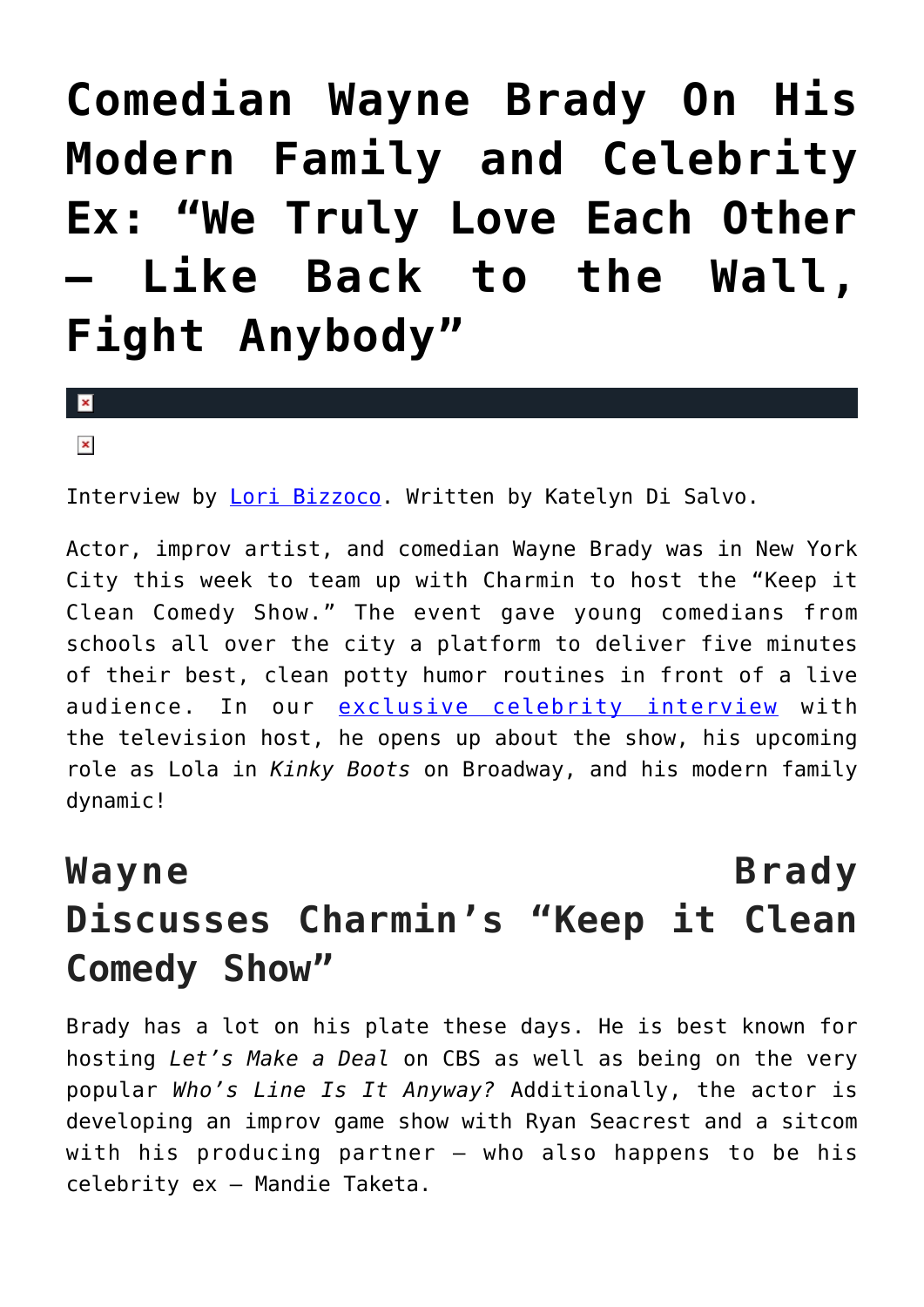**[Comedian Wayne Brady On His](https://cupidspulse.com/99389/exclusive-celebrity-interview-comedian-wayne-brady/) [Modern Family and Celebrity](https://cupidspulse.com/99389/exclusive-celebrity-interview-comedian-wayne-brady/) [Ex: "We Truly Love Each Other](https://cupidspulse.com/99389/exclusive-celebrity-interview-comedian-wayne-brady/) [— Like Back to the Wall,](https://cupidspulse.com/99389/exclusive-celebrity-interview-comedian-wayne-brady/) [Fight Anybody"](https://cupidspulse.com/99389/exclusive-celebrity-interview-comedian-wayne-brady/)**

 $\mathbf{R}$ 

 $\pmb{\times}$ 

Interview by [Lori Bizzoco.](http://cupidspulse.com/104596/lori-bizzoco/) Written by Katelyn Di Salvo.

Actor, improv artist, and comedian Wayne Brady was in New York City this week to team up with Charmin to host the "Keep it Clean Comedy Show." The event gave young comedians from schools all over the city a platform to deliver five minutes of their best, clean potty humor routines in front of a live audience. In our [exclusive celebrity interview](http://cupidspulse.com/exclusives/celebrity-interviews/) with the television host, he opens up about the show, his upcoming role as Lola in *Kinky Boots* on Broadway, and his modern family dynamic!

## **Wayne Brady Discusses Charmin's "Keep it Clean Comedy Show"**

Brady has a lot on his plate these days. He is best known for hosting *Let's Make a Deal* on CBS as well as being on the very popular *Who's Line Is It Anyway?* Additionally, the actor is developing an improv game show with Ryan Seacrest and a sitcom with his producing partner — who also happens to be his celebrity ex — Mandie Taketa.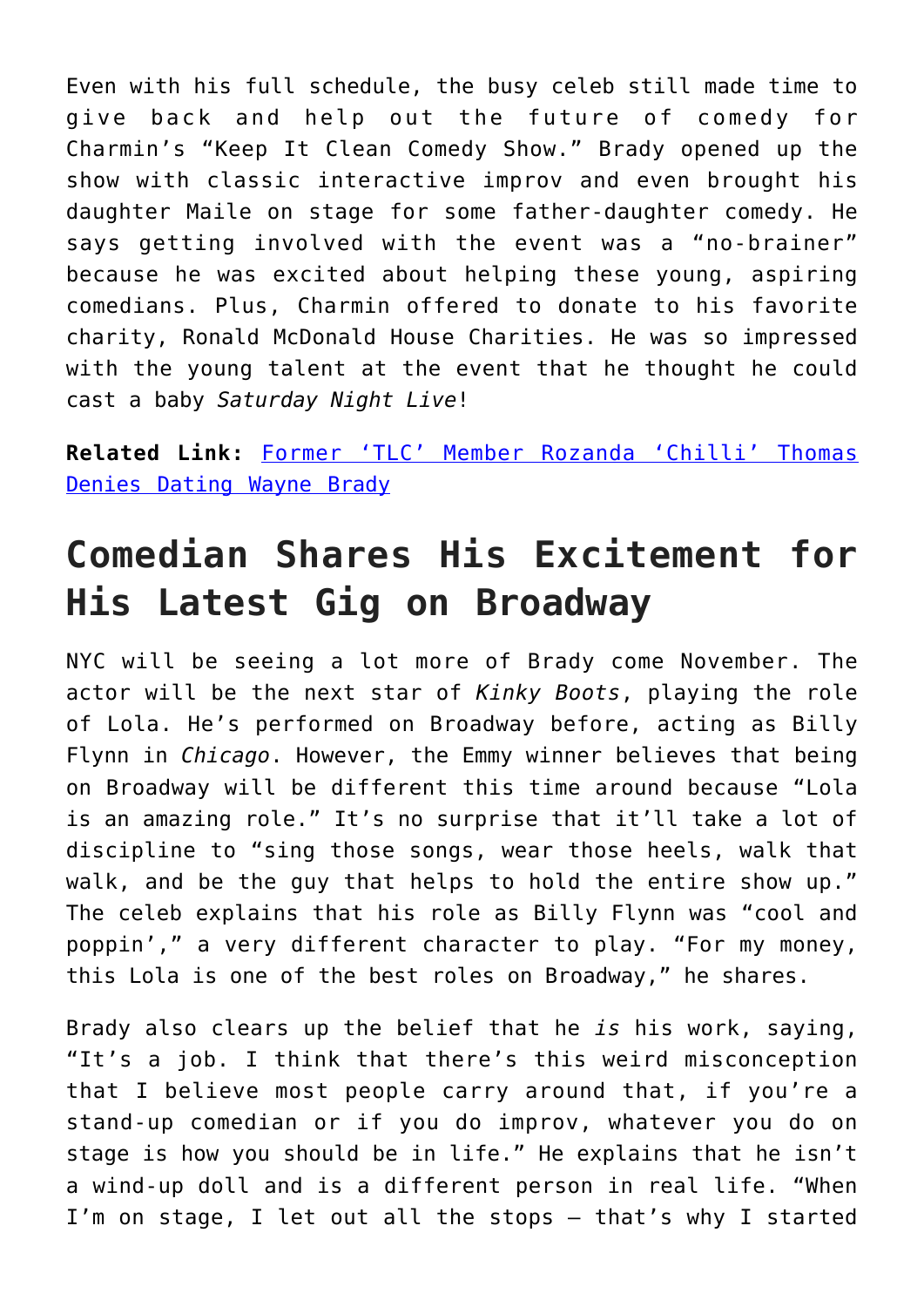Even with his full schedule, the busy celeb still made time to give back and help out the future of comedy for Charmin's "Keep It Clean Comedy Show." Brady opened up the show with classic interactive improv and even brought his daughter Maile on stage for some father-daughter comedy. He says getting involved with the event was a "no-brainer" because he was excited about helping these young, aspiring comedians. Plus, Charmin offered to donate to his favorite charity, Ronald McDonald House Charities. He was so impressed with the young talent at the event that he thought he could cast a baby *Saturday Night Live*!

**Related Link:** [Former 'TLC' Member Rozanda 'Chilli' Thomas](http://cupidspulse.com/67276/former-tlc-member-rozanda-chilli-thomas-denies-dating-wayne-brady/#AMkwWpP9YfvTkLIt.99) [Denies Dating Wayne Brady](http://cupidspulse.com/67276/former-tlc-member-rozanda-chilli-thomas-denies-dating-wayne-brady/#AMkwWpP9YfvTkLIt.99)

## **Comedian Shares His Excitement for His Latest Gig on Broadway**

NYC will be seeing a lot more of Brady come November. The actor will be the next star of *Kinky Boots*, playing the role of Lola. He's performed on Broadway before, acting as Billy Flynn in *Chicago*. However, the Emmy winner believes that being on Broadway will be different this time around because "Lola is an amazing role." It's no surprise that it'll take a lot of discipline to "sing those songs, wear those heels, walk that walk, and be the guy that helps to hold the entire show up." The celeb explains that his role as Billy Flynn was "cool and poppin'," a very different character to play. "For my money, this Lola is one of the best roles on Broadway," he shares.

Brady also clears up the belief that he *is* his work, saying, "It's a job. I think that there's this weird misconception that I believe most people carry around that, if you're a stand-up comedian or if you do improv, whatever you do on stage is how you should be in life." He explains that he isn't a wind-up doll and is a different person in real life. "When I'm on stage, I let out all the stops — that's why I started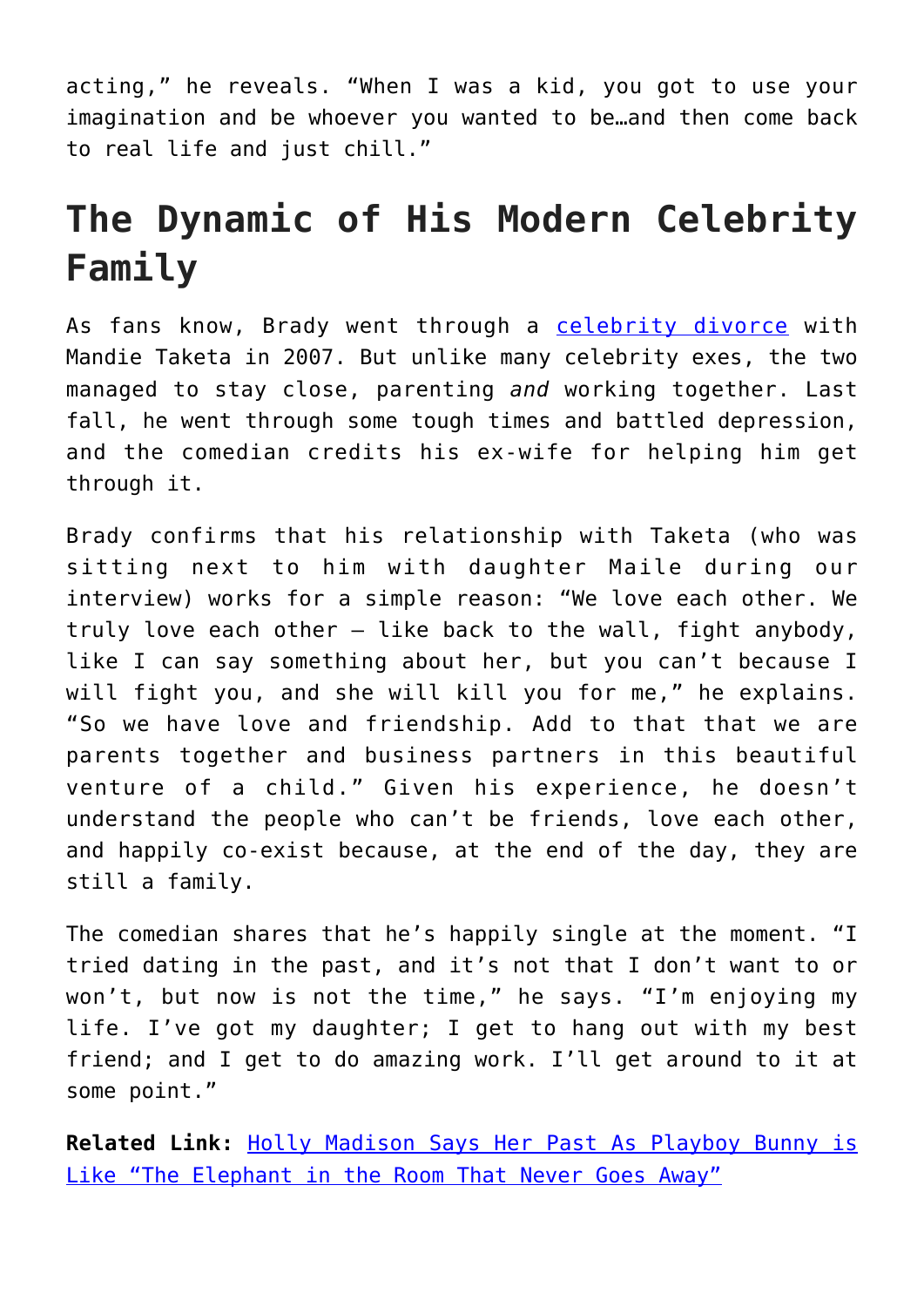acting," he reveals. "When I was a kid, you got to use your imagination and be whoever you wanted to be…and then come back to real life and just chill."

## **The Dynamic of His Modern Celebrity Family**

As fans know, Brady went through a [celebrity divorce](http://cupidspulse.com/celebrity-relationships/break-up-divorce/) with Mandie Taketa in 2007. But unlike many celebrity exes, the two managed to stay close, parenting *and* working together. Last fall, he went through some tough times and battled depression, and the comedian credits his ex-wife for helping him get through it.

Brady confirms that his relationship with Taketa (who was sitting next to him with daughter Maile during our interview) works for a simple reason: "We love each other. We truly love each other — like back to the wall, fight anybody, like I can say something about her, but you can't because I will fight you, and she will kill you for me," he explains. "So we have love and friendship. Add to that that we are parents together and business partners in this beautiful venture of a child." Given his experience, he doesn't understand the people who can't be friends, love each other, and happily co-exist because, at the end of the day, they are still a family.

The comedian shares that he's happily single at the moment. "I tried dating in the past, and it's not that I don't want to or won't, but now is not the time," he says. "I'm enjoying my life. I've got my daughter; I get to hang out with my best friend; and I get to do amazing work. I'll get around to it at some point."

**Related Link:** [Holly Madison Says Her Past As Playboy Bunny is](http://cupidspulse.com/94278/holly-madison-playboy-bunny-hugh-hefner-memoir/#ewGIpzkZidQSejwW.99) [Like "The Elephant in the Room That Never Goes Away"](http://cupidspulse.com/94278/holly-madison-playboy-bunny-hugh-hefner-memoir/#ewGIpzkZidQSejwW.99)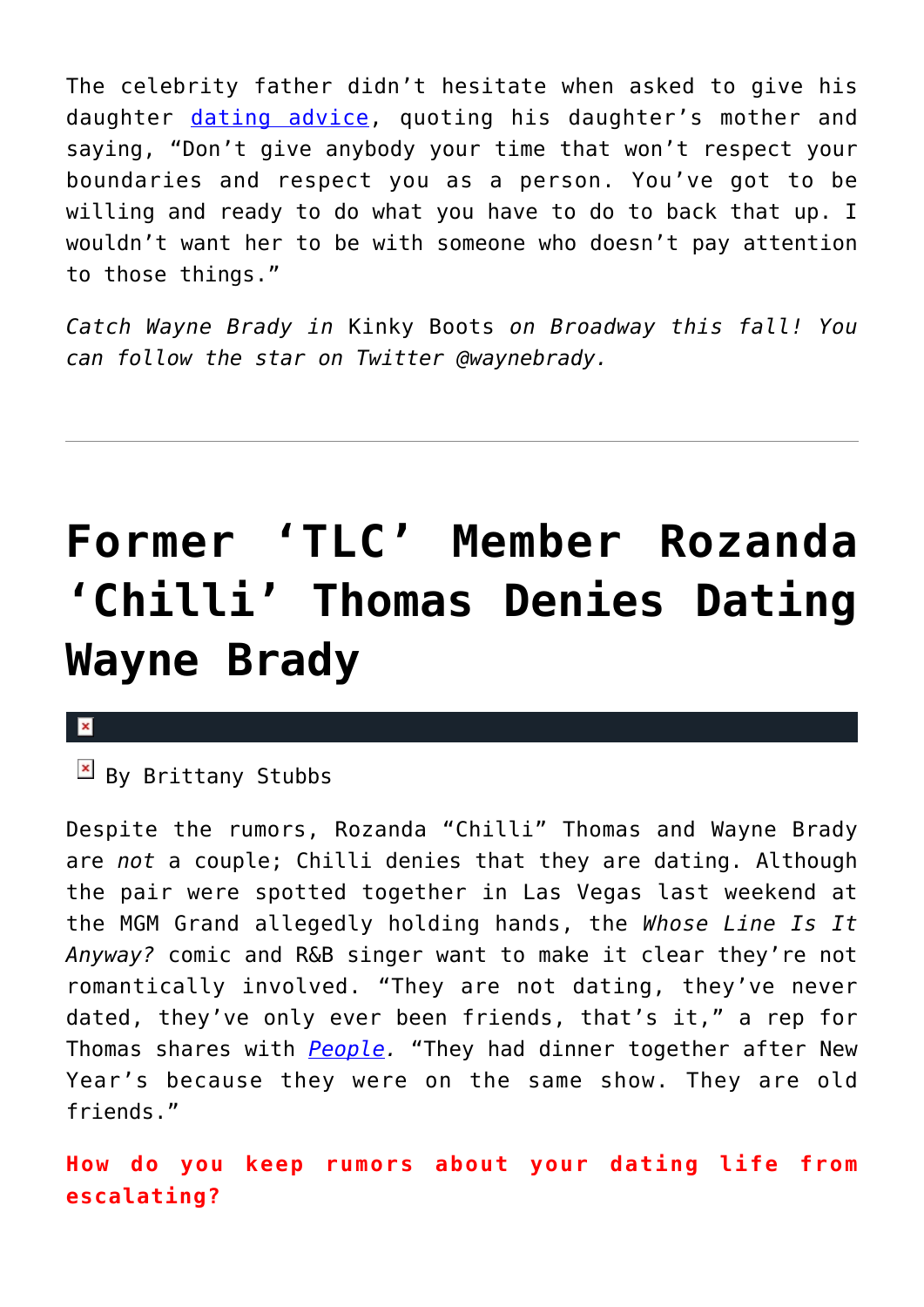The celebrity father didn't hesitate when asked to give his daughter [dating advice](http://cupidspulse.com/relationship-experts/), quoting his daughter's mother and saying, "Don't give anybody your time that won't respect your boundaries and respect you as a person. You've got to be willing and ready to do what you have to do to back that up. I wouldn't want her to be with someone who doesn't pay attention to those things."

*Catch Wayne Brady in* Kinky Boots *on Broadway this fall! You can follow the star on Twitter @waynebrady.* 

# **[Former 'TLC' Member Rozanda](https://cupidspulse.com/67276/former-tlc-member-rozanda-chilli-thomas-denies-dating-wayne-brady/) ['Chilli' Thomas Denies Dating](https://cupidspulse.com/67276/former-tlc-member-rozanda-chilli-thomas-denies-dating-wayne-brady/) [Wayne Brady](https://cupidspulse.com/67276/former-tlc-member-rozanda-chilli-thomas-denies-dating-wayne-brady/)**

#### $\mathbf{x}$

### $\mathbb{E}$  By Brittany Stubbs

Despite the rumors, Rozanda "Chilli" Thomas and Wayne Brady are *not* a couple; Chilli denies that they are dating. Although the pair were spotted together in Las Vegas last weekend at the MGM Grand allegedly holding hands, the *Whose Line Is It Anyway?* comic and R&B singer want to make it clear they're not romantically involved. "They are not dating, they've never dated, they've only ever been friends, that's it," a rep for Thomas shares with *[People](http://www.people.com/people/article/0,,20773061,00.html).* "They had dinner together after New Year's because they were on the same show. They are old friends."

**How do you keep rumors about your dating life from escalating?**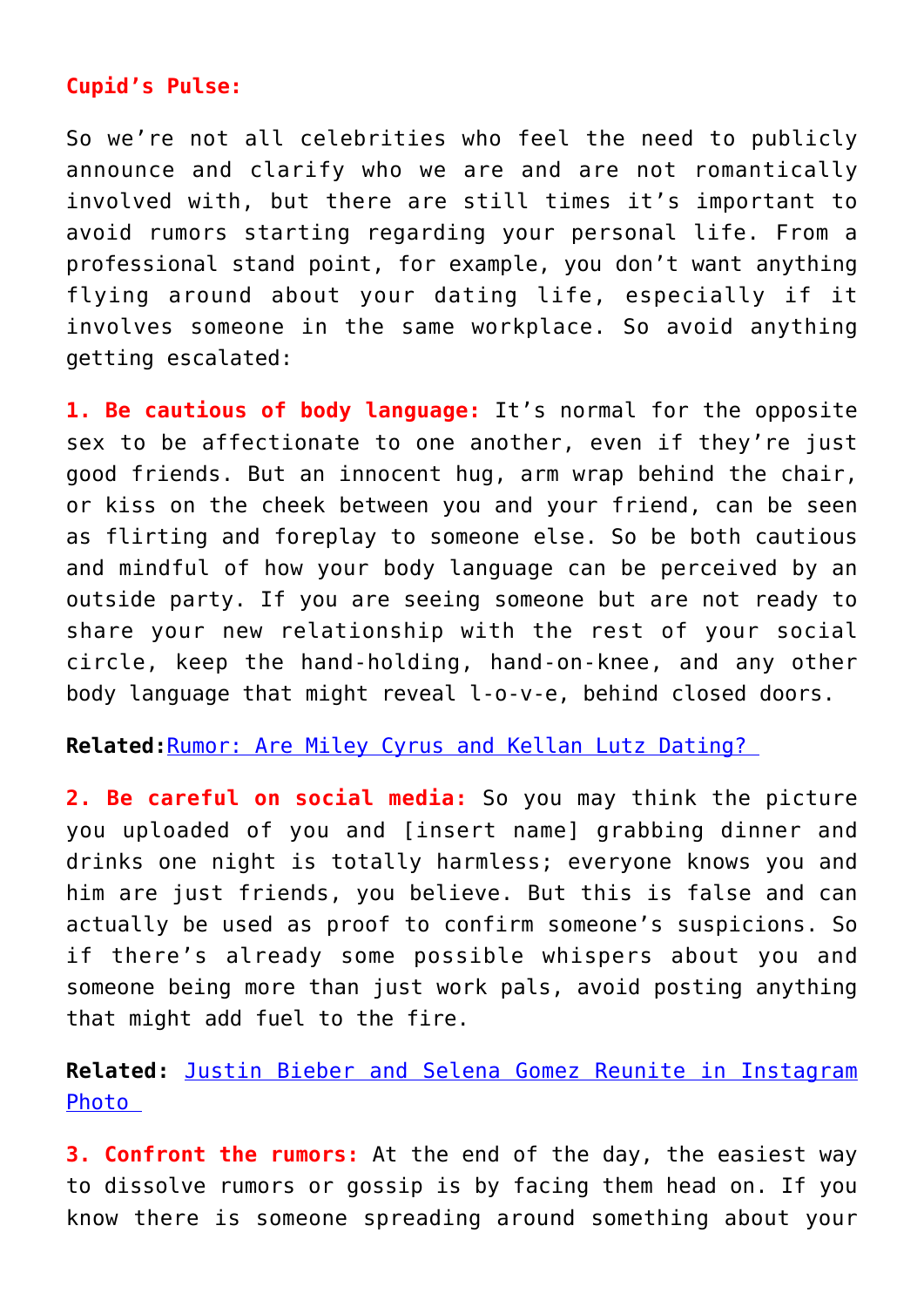### **Cupid's Pulse:**

So we're not all celebrities who feel the need to publicly announce and clarify who we are and are not romantically involved with, but there are still times it's important to avoid rumors starting regarding your personal life. From a professional stand point, for example, you don't want anything flying around about your dating life, especially if it involves someone in the same workplace. So avoid anything getting escalated:

**1. Be cautious of body language:** It's normal for the opposite sex to be affectionate to one another, even if they're just good friends. But an innocent hug, arm wrap behind the chair, or kiss on the cheek between you and your friend, can be seen as flirting and foreplay to someone else. So be both cautious and mindful of how your body language can be perceived by an outside party. If you are seeing someone but are not ready to share your new relationship with the rest of your social circle, keep the hand-holding, hand-on-knee, and any other body language that might reveal l-o-v-e, behind closed doors.

**Related:**[Rumor: Are Miley Cyrus and Kellan Lutz Dating?](http://cupidspulse.com/rumor-miley-cyrus-kellan-lutz-dating/) 

**2. Be careful on social media:** So you may think the picture you uploaded of you and [insert name] grabbing dinner and drinks one night is totally harmless; everyone knows you and him are just friends, you believe. But this is false and can actually be used as proof to confirm someone's suspicions. So if there's already some possible whispers about you and someone being more than just work pals, avoid posting anything that might add fuel to the fire.

**Related:** [Justin Bieber and Selena Gomez Reunite in Instagram](http://cupidspulse.com/justin-bieber-selena-gomez-reunite-instagram-photo/) [Photo](http://cupidspulse.com/justin-bieber-selena-gomez-reunite-instagram-photo/) 

**3. Confront the rumors:** At the end of the day, the easiest way to dissolve rumors or gossip is by facing them head on. If you know there is someone spreading around something about your